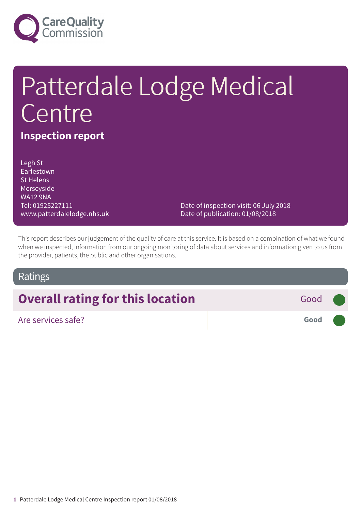

# Patterdale Lodge Medical Centre

## **Inspection report**

Legh St Earlestown St Helens Merseyside WA12 9NA Tel: 01925227111 www.patterdalelodge.nhs.uk

Date of inspection visit: 06 July 2018 Date of publication: 01/08/2018

This report describes our judgement of the quality of care at this service. It is based on a combination of what we found when we inspected, information from our ongoing monitoring of data about services and information given to us from the provider, patients, the public and other organisations.

## Ratings

| <b>Overall rating for this location</b> | Good (        |  |
|-----------------------------------------|---------------|--|
| Are services safe?                      | Good <b>O</b> |  |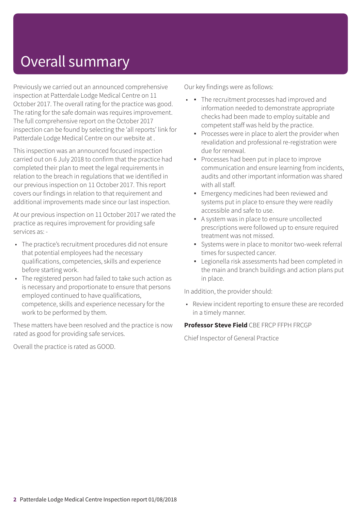# Overall summary

Previously we carried out an announced comprehensive inspection at Patterdale Lodge Medical Centre on 11 October 2017. The overall rating for the practice was good. The rating for the safe domain was requires improvement. The full comprehensive report on the October 2017 inspection can be found by selecting the 'all reports' link for Patterdale Lodge Medical Centre on our website at .

This inspection was an announced focused inspection carried out on 6 July 2018 to confirm that the practice had completed their plan to meet the legal requirements in relation to the breach in regulations that we identified in our previous inspection on 11 October 2017. This report covers our findings in relation to that requirement and additional improvements made since our last inspection.

At our previous inspection on 11 October 2017 we rated the practice as requires improvement for providing safe services as: -

- The practice's recruitment procedures did not ensure that potential employees had the necessary qualifications, competencies, skills and experience before starting work.
- The registered person had failed to take such action as is necessary and proportionate to ensure that persons employed continued to have qualifications, competence, skills and experience necessary for the work to be performed by them.

These matters have been resolved and the practice is now rated as good for providing safe services.

Overall the practice is rated as GOOD.

Our key findings were as follows:

- • The recruitment processes had improved and information needed to demonstrate appropriate checks had been made to employ suitable and competent staff was held by the practice.
	- **•** Processes were in place to alert the provider when revalidation and professional re-registration were due for renewal.
	- Processes had been put in place to improve communication and ensure learning from incidents, audits and other important information was shared with all staff.
	- **Emergency medicines had been reviewed and** systems put in place to ensure they were readily accessible and safe to use.
	- A system was in place to ensure uncollected prescriptions were followed up to ensure required treatment was not missed.
	- Systems were in place to monitor two-week referral times for suspected cancer.
	- Legionella risk assessments had been completed in the main and branch buildings and action plans put in place.

In addition, the provider should:

• Review incident reporting to ensure these are recorded in a timely manner.

### **Professor Steve Field** CBE FRCP FFPH FRCGP

Chief Inspector of General Practice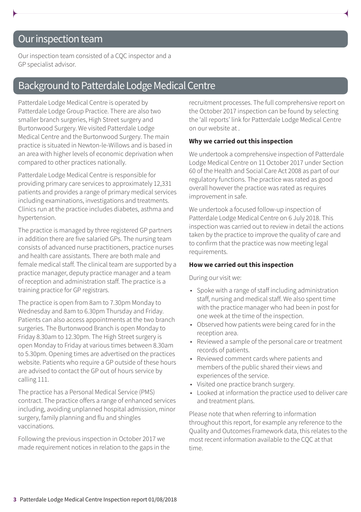## Our inspection team

Our inspection team consisted of a CQC inspector and a GP specialist advisor.

## Background to Patterdale Lodge Medical Centre

Patterdale Lodge Medical Centre is operated by Patterdale Lodge Group Practice. There are also two smaller branch surgeries, High Street surgery and Burtonwood Surgery. We visited Patterdale Lodge Medical Centre and the Burtonwood Surgery. The main practice is situated in Newton-le-Willows and is based in an area with higher levels of economic deprivation when compared to other practices nationally.

Patterdale Lodge Medical Centre is responsible for providing primary care services to approximately 12,331 patients and provides a range of primary medical services including examinations, investigations and treatments. Clinics run at the practice includes diabetes, asthma and hypertension.

The practice is managed by three registered GP partners in addition there are five salaried GPs. The nursing team consists of advanced nurse practitioners, practice nurses and health care assistants. There are both male and female medical staff. The clinical team are supported by a practice manager, deputy practice manager and a team of reception and administration staff. The practice is a training practice for GP registrars.

The practice is open from 8am to 7.30pm Monday to Wednesday and 8am to 6.30pm Thursday and Friday. Patients can also access appointments at the two branch surgeries. The Burtonwood Branch is open Monday to Friday 8.30am to 12.30pm. The High Street surgery is open Monday to Friday at various times between 8.30am to 5.30pm. Opening times are advertised on the practices website. Patients who require a GP outside of these hours are advised to contact the GP out of hours service by calling 111.

The practice has a Personal Medical Service (PMS) contract. The practice offers a range of enhanced services including, avoiding unplanned hospital admission, minor surgery, family planning and flu and shingles vaccinations.

Following the previous inspection in October 2017 we made requirement notices in relation to the gaps in the recruitment processes. The full comprehensive report on the October 2017 inspection can be found by selecting the 'all reports' link for Patterdale Lodge Medical Centre on our website at .

#### **Why we carried out this inspection**

We undertook a comprehensive inspection of Patterdale Lodge Medical Centre on 11 October 2017 under Section 60 of the Health and Social Care Act 2008 as part of our regulatory functions. The practice was rated as good overall however the practice was rated as requires improvement in safe.

We undertook a focused follow-up inspection of Patterdale Lodge Medical Centre on 6 July 2018. This inspection was carried out to review in detail the actions taken by the practice to improve the quality of care and to confirm that the practice was now meeting legal requirements.

#### **How we carried out this inspection**

During our visit we:

- Spoke with a range of staff including administration staff, nursing and medical staff. We also spent time with the practice manager who had been in post for one week at the time of the inspection.
- Observed how patients were being cared for in the reception area.
- Reviewed a sample of the personal care or treatment records of patients.
- Reviewed comment cards where patients and members of the public shared their views and experiences of the service.
- Visited one practice branch surgery.
- Looked at information the practice used to deliver care and treatment plans.

Please note that when referring to information throughout this report, for example any reference to the Quality and Outcomes Framework data, this relates to the most recent information available to the CQC at that time.